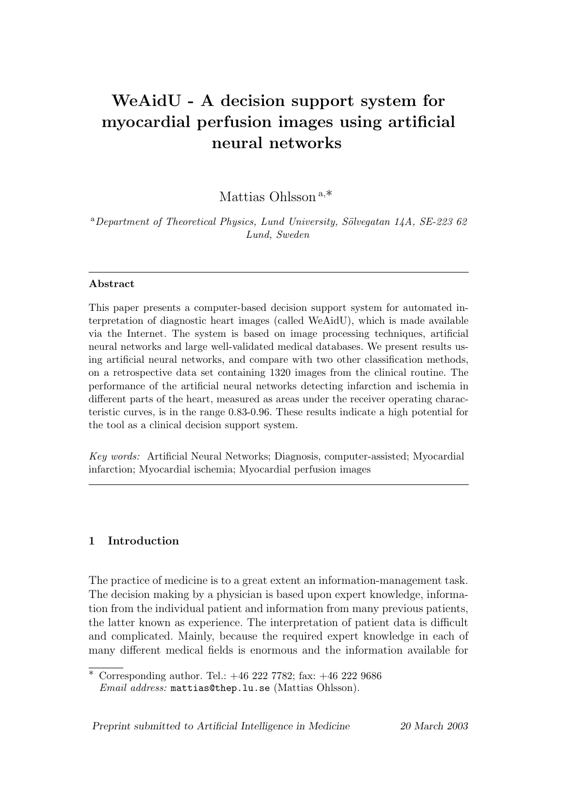# WeAidU - A decision support system for myocardial perfusion images using artificial neural networks

Mattias Ohlsson <sup>a</sup>,∗

 $a$ Department of Theoretical Physics, Lund University, Sölvegatan 14A, SE-223 62 Lund, Sweden

#### Abstract

This paper presents a computer-based decision support system for automated interpretation of diagnostic heart images (called WeAidU), which is made available via the Internet. The system is based on image processing techniques, artificial neural networks and large well-validated medical databases. We present results using artificial neural networks, and compare with two other classification methods, on a retrospective data set containing 1320 images from the clinical routine. The performance of the artificial neural networks detecting infarction and ischemia in different parts of the heart, measured as areas under the receiver operating characteristic curves, is in the range 0.83-0.96. These results indicate a high potential for the tool as a clinical decision support system.

Key words: Artificial Neural Networks; Diagnosis, computer-assisted; Myocardial infarction; Myocardial ischemia; Myocardial perfusion images

## 1 Introduction

The practice of medicine is to a great extent an information-management task. The decision making by a physician is based upon expert knowledge, information from the individual patient and information from many previous patients, the latter known as experience. The interpretation of patient data is difficult and complicated. Mainly, because the required expert knowledge in each of many different medical fields is enormous and the information available for

Preprint submitted to Artificial Intelligence in Medicine 20 March 2003

 $\overline{\text{``Corresponding author. Tel.:}}$  +46 222 7782; fax: +46 222 9686 Email address: mattias@thep.lu.se (Mattias Ohlsson).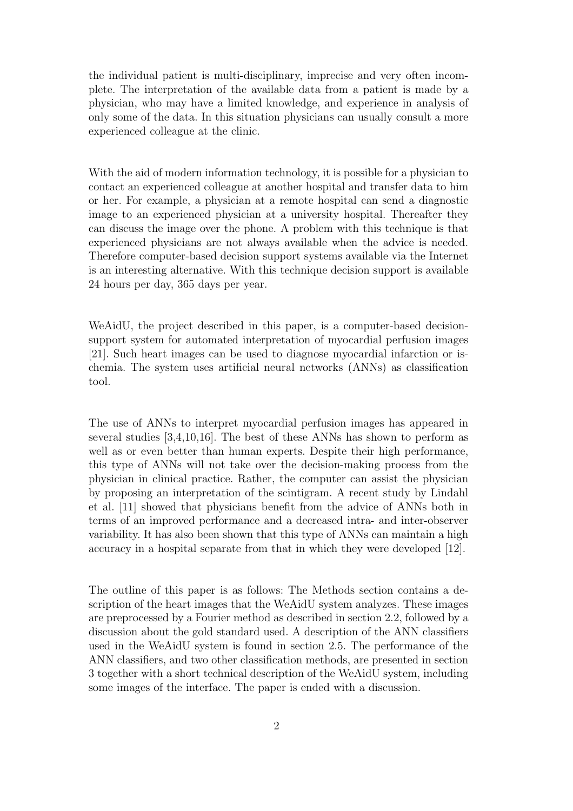the individual patient is multi-disciplinary, imprecise and very often incomplete. The interpretation of the available data from a patient is made by a physician, who may have a limited knowledge, and experience in analysis of only some of the data. In this situation physicians can usually consult a more experienced colleague at the clinic.

With the aid of modern information technology, it is possible for a physician to contact an experienced colleague at another hospital and transfer data to him or her. For example, a physician at a remote hospital can send a diagnostic image to an experienced physician at a university hospital. Thereafter they can discuss the image over the phone. A problem with this technique is that experienced physicians are not always available when the advice is needed. Therefore computer-based decision support systems available via the Internet is an interesting alternative. With this technique decision support is available 24 hours per day, 365 days per year.

WeAidU, the project described in this paper, is a computer-based decisionsupport system for automated interpretation of myocardial perfusion images [21]. Such heart images can be used to diagnose myocardial infarction or ischemia. The system uses artificial neural networks (ANNs) as classification tool.

The use of ANNs to interpret myocardial perfusion images has appeared in several studies [3,4,10,16]. The best of these ANNs has shown to perform as well as or even better than human experts. Despite their high performance, this type of ANNs will not take over the decision-making process from the physician in clinical practice. Rather, the computer can assist the physician by proposing an interpretation of the scintigram. A recent study by Lindahl et al. [11] showed that physicians benefit from the advice of ANNs both in terms of an improved performance and a decreased intra- and inter-observer variability. It has also been shown that this type of ANNs can maintain a high accuracy in a hospital separate from that in which they were developed [12].

The outline of this paper is as follows: The Methods section contains a description of the heart images that the WeAidU system analyzes. These images are preprocessed by a Fourier method as described in section 2.2, followed by a discussion about the gold standard used. A description of the ANN classifiers used in the WeAidU system is found in section 2.5. The performance of the ANN classifiers, and two other classification methods, are presented in section 3 together with a short technical description of the WeAidU system, including some images of the interface. The paper is ended with a discussion.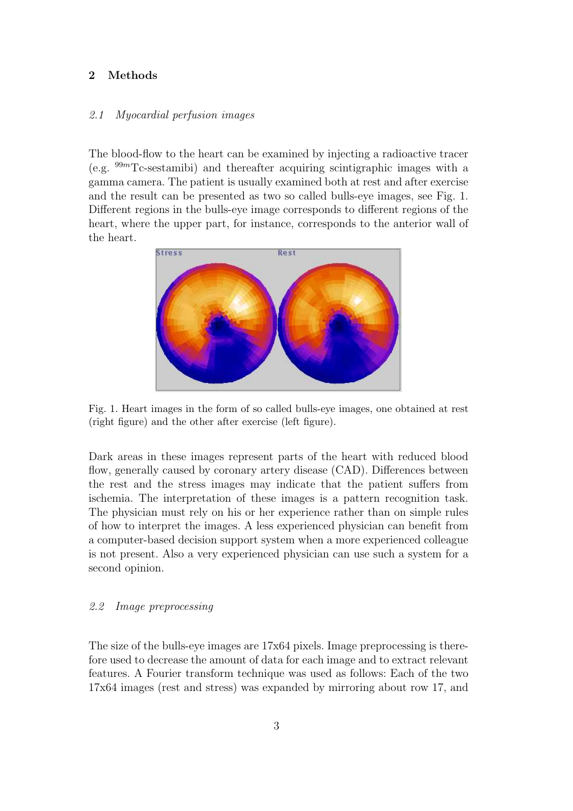# 2 Methods

### 2.1 Myocardial perfusion images

The blood-flow to the heart can be examined by injecting a radioactive tracer (e.g.  $99m$ Tc-sestamibi) and thereafter acquiring scintigraphic images with a gamma camera. The patient is usually examined both at rest and after exercise and the result can be presented as two so called bulls-eye images, see Fig. 1. Different regions in the bulls-eye image corresponds to different regions of the heart, where the upper part, for instance, corresponds to the anterior wall of the heart.



Fig. 1. Heart images in the form of so called bulls-eye images, one obtained at rest (right figure) and the other after exercise (left figure).

Dark areas in these images represent parts of the heart with reduced blood flow, generally caused by coronary artery disease (CAD). Differences between the rest and the stress images may indicate that the patient suffers from ischemia. The interpretation of these images is a pattern recognition task. The physician must rely on his or her experience rather than on simple rules of how to interpret the images. A less experienced physician can benefit from a computer-based decision support system when a more experienced colleague is not present. Also a very experienced physician can use such a system for a second opinion.

# 2.2 Image preprocessing

The size of the bulls-eye images are 17x64 pixels. Image preprocessing is therefore used to decrease the amount of data for each image and to extract relevant features. A Fourier transform technique was used as follows: Each of the two 17x64 images (rest and stress) was expanded by mirroring about row 17, and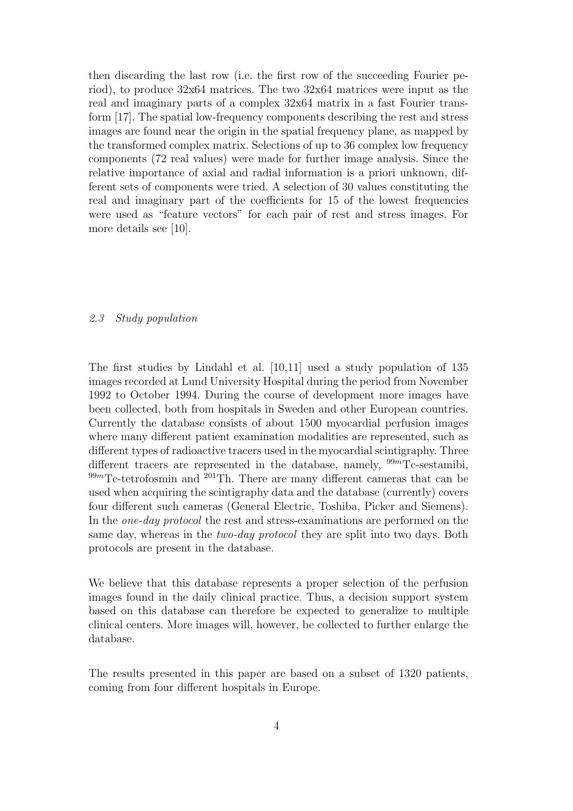then discarding the last row (i.e. the first row of the succeeding Fourier period), to produce 32x64 matrices. The two 32x64 matrices were input as the real and imaginary parts of a complex 32x64 matrix in a fast Fourier transform [17]. The spatial low-frequency components describing the rest and stress images are found near the origin in the spatial frequency plane, as mapped by the transformed complex matrix. Selections of up to 36 complex low frequency components (72 real values) were made for further image analysis. Since the relative importance of axial and radial information is a priori unknown, different sets of components were tried. A selection of 30 values constituting the real and imaginary part of the coefficients for 15 of the lowest frequencies were used as "feature vectors" for each pair of rest and stress images. For more details see [10].

## 2.3 Study population

The first studies by Lindahl et al. [10,11] used a study population of 135 images recorded at Lund University Hospital during the period from November 1992 to October 1994. During the course of development more images have been collected, both from hospitals in Sweden and other European countries. Currently the database consists of about 1500 myocardial perfusion images where many different patient examination modalities are represented, such as different types of radioactive tracers used in the myocardial scintigraphy. Three different tracers are represented in the database, namely,  $99m$ Tc-sestamibi,  $99m$ Tc-tetrofosmin and  $201$ Th. There are many different cameras that can be used when acquiring the scintigraphy data and the database (currently) covers four different such cameras (General Electric, Toshiba, Picker and Siemens). In the *one-day protocol* the rest and stress-examinations are performed on the same day, whereas in the *two-day protocol* they are split into two days. Both protocols are present in the database.

We believe that this database represents a proper selection of the perfusion images found in the daily clinical practice. Thus, a decision support system based on this database can therefore be expected to generalize to multiple clinical centers. More images will, however, be collected to further enlarge the database.

The results presented in this paper are based on a subset of 1320 patients, coming from four different hospitals in Europe.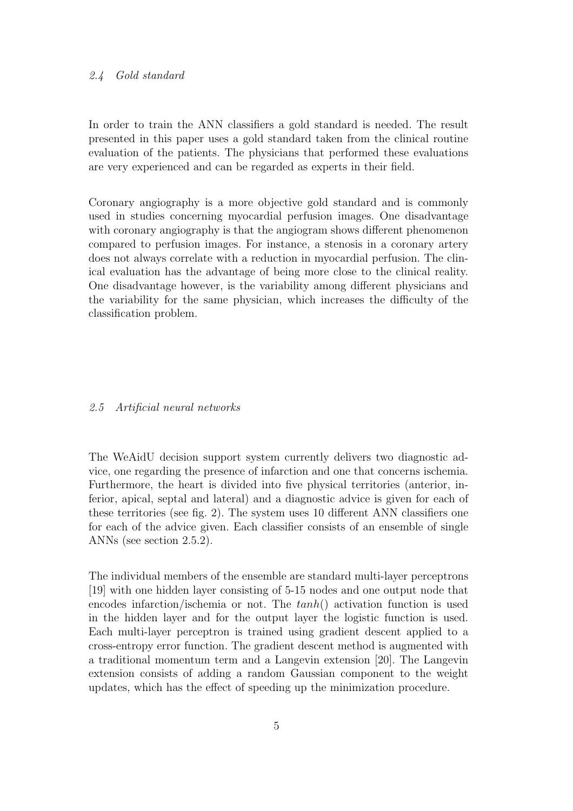#### 2.4 Gold standard

In order to train the ANN classifiers a gold standard is needed. The result presented in this paper uses a gold standard taken from the clinical routine evaluation of the patients. The physicians that performed these evaluations are very experienced and can be regarded as experts in their field.

Coronary angiography is a more objective gold standard and is commonly used in studies concerning myocardial perfusion images. One disadvantage with coronary angiography is that the angiogram shows different phenomenon compared to perfusion images. For instance, a stenosis in a coronary artery does not always correlate with a reduction in myocardial perfusion. The clinical evaluation has the advantage of being more close to the clinical reality. One disadvantage however, is the variability among different physicians and the variability for the same physician, which increases the difficulty of the classification problem.

#### 2.5 Artificial neural networks

The WeAidU decision support system currently delivers two diagnostic advice, one regarding the presence of infarction and one that concerns ischemia. Furthermore, the heart is divided into five physical territories (anterior, inferior, apical, septal and lateral) and a diagnostic advice is given for each of these territories (see fig. 2). The system uses 10 different ANN classifiers one for each of the advice given. Each classifier consists of an ensemble of single ANNs (see section 2.5.2).

The individual members of the ensemble are standard multi-layer perceptrons [19] with one hidden layer consisting of 5-15 nodes and one output node that encodes infarction/ischemia or not. The  $tanh()$  activation function is used in the hidden layer and for the output layer the logistic function is used. Each multi-layer perceptron is trained using gradient descent applied to a cross-entropy error function. The gradient descent method is augmented with a traditional momentum term and a Langevin extension [20]. The Langevin extension consists of adding a random Gaussian component to the weight updates, which has the effect of speeding up the minimization procedure.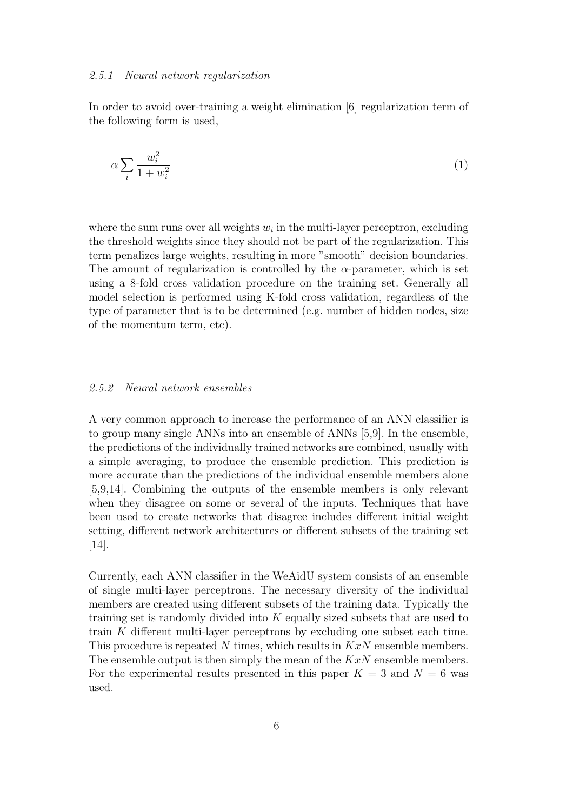#### 2.5.1 Neural network regularization

In order to avoid over-training a weight elimination [6] regularization term of the following form is used,

$$
\alpha \sum_{i} \frac{w_i^2}{1 + w_i^2} \tag{1}
$$

where the sum runs over all weights  $w_i$  in the multi-layer perceptron, excluding the threshold weights since they should not be part of the regularization. This term penalizes large weights, resulting in more "smooth" decision boundaries. The amount of regularization is controlled by the  $\alpha$ -parameter, which is set using a 8-fold cross validation procedure on the training set. Generally all model selection is performed using K-fold cross validation, regardless of the type of parameter that is to be determined (e.g. number of hidden nodes, size of the momentum term, etc).

## 2.5.2 Neural network ensembles

A very common approach to increase the performance of an ANN classifier is to group many single ANNs into an ensemble of ANNs [5,9]. In the ensemble, the predictions of the individually trained networks are combined, usually with a simple averaging, to produce the ensemble prediction. This prediction is more accurate than the predictions of the individual ensemble members alone [5,9,14]. Combining the outputs of the ensemble members is only relevant when they disagree on some or several of the inputs. Techniques that have been used to create networks that disagree includes different initial weight setting, different network architectures or different subsets of the training set [14].

Currently, each ANN classifier in the WeAidU system consists of an ensemble of single multi-layer perceptrons. The necessary diversity of the individual members are created using different subsets of the training data. Typically the training set is randomly divided into K equally sized subsets that are used to train K different multi-layer perceptrons by excluding one subset each time. This procedure is repeated N times, which results in  $KxN$  ensemble members. The ensemble output is then simply the mean of the  $KxN$  ensemble members. For the experimental results presented in this paper  $K = 3$  and  $N = 6$  was used.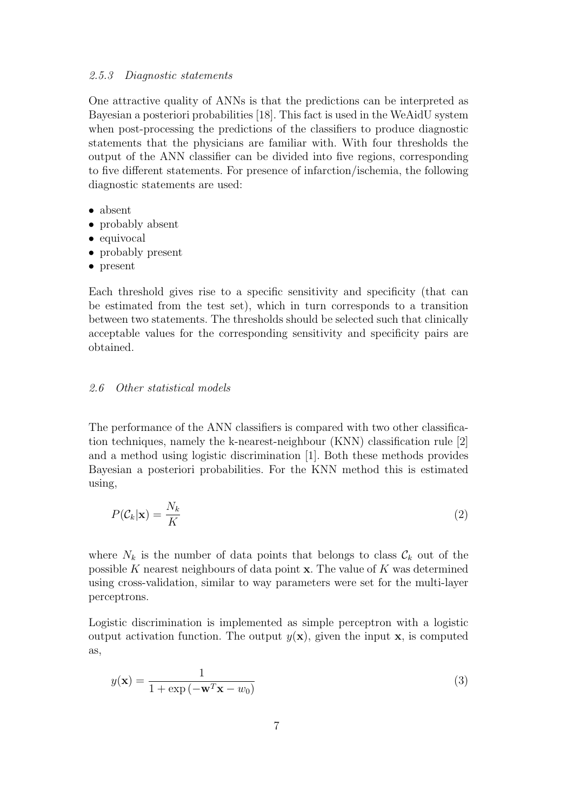# 2.5.3 Diagnostic statements

One attractive quality of ANNs is that the predictions can be interpreted as Bayesian a posteriori probabilities [18]. This fact is used in the WeAidU system when post-processing the predictions of the classifiers to produce diagnostic statements that the physicians are familiar with. With four thresholds the output of the ANN classifier can be divided into five regions, corresponding to five different statements. For presence of infarction/ischemia, the following diagnostic statements are used:

- absent
- probably absent
- equivocal
- probably present
- present

Each threshold gives rise to a specific sensitivity and specificity (that can be estimated from the test set), which in turn corresponds to a transition between two statements. The thresholds should be selected such that clinically acceptable values for the corresponding sensitivity and specificity pairs are obtained.

#### 2.6 Other statistical models

The performance of the ANN classifiers is compared with two other classification techniques, namely the k-nearest-neighbour (KNN) classification rule [2] and a method using logistic discrimination [1]. Both these methods provides Bayesian a posteriori probabilities. For the KNN method this is estimated using,

$$
P(\mathcal{C}_k|\mathbf{x}) = \frac{N_k}{K} \tag{2}
$$

where  $N_k$  is the number of data points that belongs to class  $\mathcal{C}_k$  out of the possible K nearest neighbours of data point  $x$ . The value of K was determined using cross-validation, similar to way parameters were set for the multi-layer perceptrons.

Logistic discrimination is implemented as simple perceptron with a logistic output activation function. The output  $y(x)$ , given the input x, is computed as,

$$
y(\mathbf{x}) = \frac{1}{1 + \exp(-\mathbf{w}^T \mathbf{x} - w_0)}
$$
(3)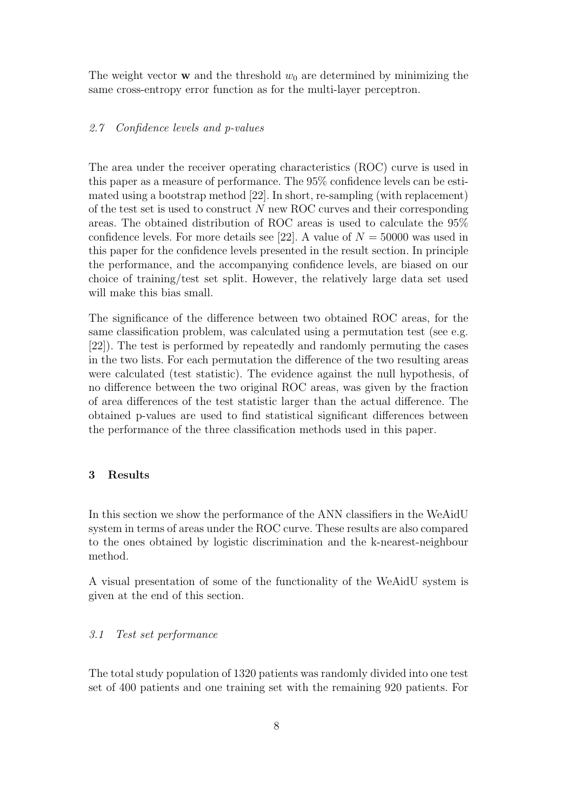The weight vector **w** and the threshold  $w_0$  are determined by minimizing the same cross-entropy error function as for the multi-layer perceptron.

#### 2.7 Confidence levels and p-values

The area under the receiver operating characteristics (ROC) curve is used in this paper as a measure of performance. The 95% confidence levels can be estimated using a bootstrap method [22]. In short, re-sampling (with replacement) of the test set is used to construct  $N$  new ROC curves and their corresponding areas. The obtained distribution of ROC areas is used to calculate the 95% confidence levels. For more details see [22]. A value of  $N = 50000$  was used in this paper for the confidence levels presented in the result section. In principle the performance, and the accompanying confidence levels, are biased on our choice of training/test set split. However, the relatively large data set used will make this bias small.

The significance of the difference between two obtained ROC areas, for the same classification problem, was calculated using a permutation test (see e.g. [22]). The test is performed by repeatedly and randomly permuting the cases in the two lists. For each permutation the difference of the two resulting areas were calculated (test statistic). The evidence against the null hypothesis, of no difference between the two original ROC areas, was given by the fraction of area differences of the test statistic larger than the actual difference. The obtained p-values are used to find statistical significant differences between the performance of the three classification methods used in this paper.

#### 3 Results

In this section we show the performance of the ANN classifiers in the WeAidU system in terms of areas under the ROC curve. These results are also compared to the ones obtained by logistic discrimination and the k-nearest-neighbour method.

A visual presentation of some of the functionality of the WeAidU system is given at the end of this section.

## 3.1 Test set performance

The total study population of 1320 patients was randomly divided into one test set of 400 patients and one training set with the remaining 920 patients. For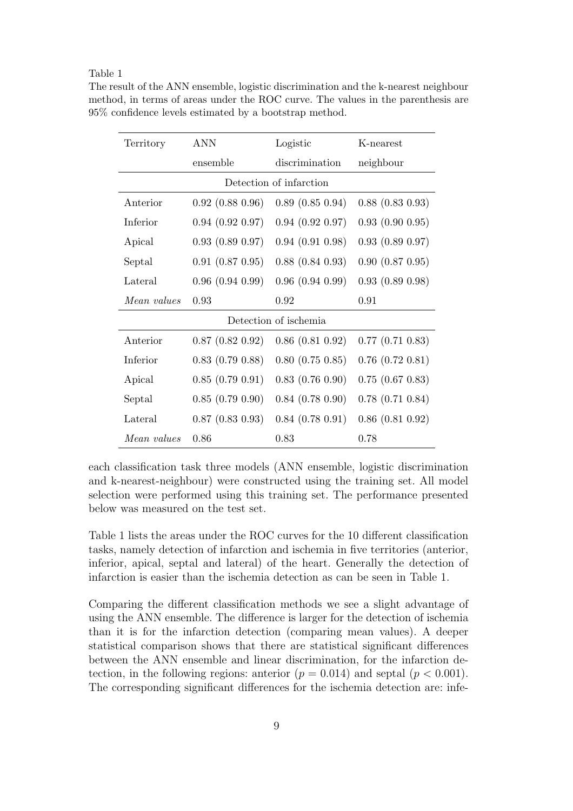#### Table 1

| Territory               | ANN                  | Logistic               | K-nearest              |
|-------------------------|----------------------|------------------------|------------------------|
|                         | ensemble             | discrimination         | neighbour              |
| Detection of infarction |                      |                        |                        |
| Anterior                | $0.92$ $(0.88 0.96)$ | $0.89$ $(0.85 0.94)$   | $0.88$ $(0.83 0.93)$   |
| Inferior                | $0.94$ $(0.92 0.97)$ | $0.94$ $(0.92 0.97)$   | 0.93(0.900.95)         |
| Apical                  | 0.93(0.890.97)       | 0.94(0.910.98)         | 0.93(0.890.97)         |
| Septal                  | $0.91$ $(0.87 0.95)$ | $0.88$ $(0.84 0.93)$   | $0.90$ $(0.87 0.95)$   |
| Lateral                 | 0.96(0.940.99)       | 0.96(0.940.99)         | 0.93(0.890.98)         |
|                         |                      |                        |                        |
| Mean values             | 0.93                 | 0.92                   | 0.91                   |
|                         |                      | Detection of ischemia  |                        |
| Anterior                | $0.87$ $(0.82 0.92)$ | $0.86$ $(0.81 0.92)$   | $0.77$ $(0.71$ $0.83)$ |
| Inferior                | $0.83$ $(0.79 0.88)$ | $0.80$ $(0.75$ $0.85)$ | $0.76$ $(0.72$ $0.81)$ |
| Apical                  | 0.85(0.790.91)       | $0.83$ $(0.76 0.90)$   | $0.75$ $(0.67 0.83)$   |
| Septal                  | 0.85(0.790.90)       | $0.84$ $(0.78 0.90)$   | $0.78$ $(0.71$ $0.84)$ |
| Lateral                 | $0.87$ $(0.83 0.93)$ | $0.84$ $(0.78$ $0.91)$ | $0.86$ $(0.81 0.92)$   |

The result of the ANN ensemble, logistic discrimination and the k-nearest neighbour method, in terms of areas under the ROC curve. The values in the parenthesis are 95% confidence levels estimated by a bootstrap method.

each classification task three models (ANN ensemble, logistic discrimination and k-nearest-neighbour) were constructed using the training set. All model selection were performed using this training set. The performance presented below was measured on the test set.

Table 1 lists the areas under the ROC curves for the 10 different classification tasks, namely detection of infarction and ischemia in five territories (anterior, inferior, apical, septal and lateral) of the heart. Generally the detection of infarction is easier than the ischemia detection as can be seen in Table 1.

Comparing the different classification methods we see a slight advantage of using the ANN ensemble. The difference is larger for the detection of ischemia than it is for the infarction detection (comparing mean values). A deeper statistical comparison shows that there are statistical significant differences between the ANN ensemble and linear discrimination, for the infarction detection, in the following regions: anterior  $(p = 0.014)$  and septal  $(p < 0.001)$ . The corresponding significant differences for the ischemia detection are: infe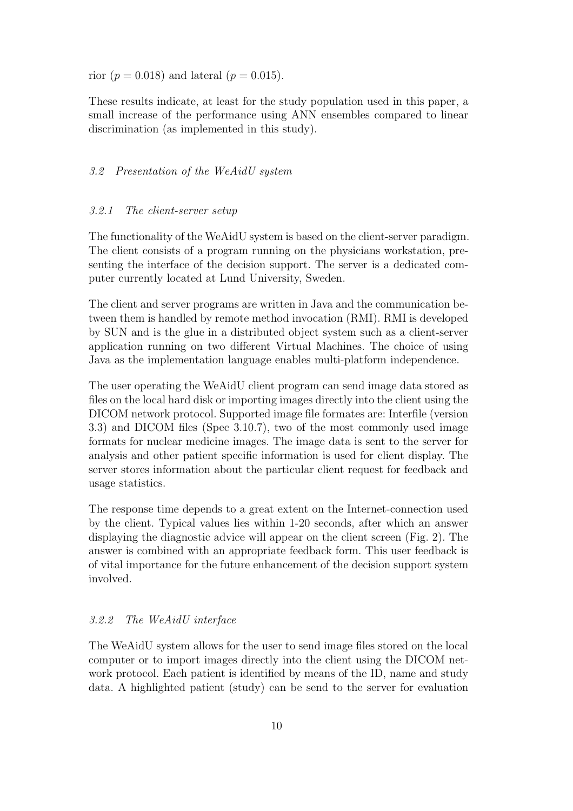rior ( $p = 0.018$ ) and lateral ( $p = 0.015$ ).

These results indicate, at least for the study population used in this paper, a small increase of the performance using ANN ensembles compared to linear discrimination (as implemented in this study).

## 3.2 Presentation of the WeAidU system

#### 3.2.1 The client-server setup

The functionality of the WeAidU system is based on the client-server paradigm. The client consists of a program running on the physicians workstation, presenting the interface of the decision support. The server is a dedicated computer currently located at Lund University, Sweden.

The client and server programs are written in Java and the communication between them is handled by remote method invocation (RMI). RMI is developed by SUN and is the glue in a distributed object system such as a client-server application running on two different Virtual Machines. The choice of using Java as the implementation language enables multi-platform independence.

The user operating the WeAidU client program can send image data stored as files on the local hard disk or importing images directly into the client using the DICOM network protocol. Supported image file formates are: Interfile (version 3.3) and DICOM files (Spec 3.10.7), two of the most commonly used image formats for nuclear medicine images. The image data is sent to the server for analysis and other patient specific information is used for client display. The server stores information about the particular client request for feedback and usage statistics.

The response time depends to a great extent on the Internet-connection used by the client. Typical values lies within 1-20 seconds, after which an answer displaying the diagnostic advice will appear on the client screen (Fig. 2). The answer is combined with an appropriate feedback form. This user feedback is of vital importance for the future enhancement of the decision support system involved.

# 3.2.2 The WeAidU interface

The WeAidU system allows for the user to send image files stored on the local computer or to import images directly into the client using the DICOM network protocol. Each patient is identified by means of the ID, name and study data. A highlighted patient (study) can be send to the server for evaluation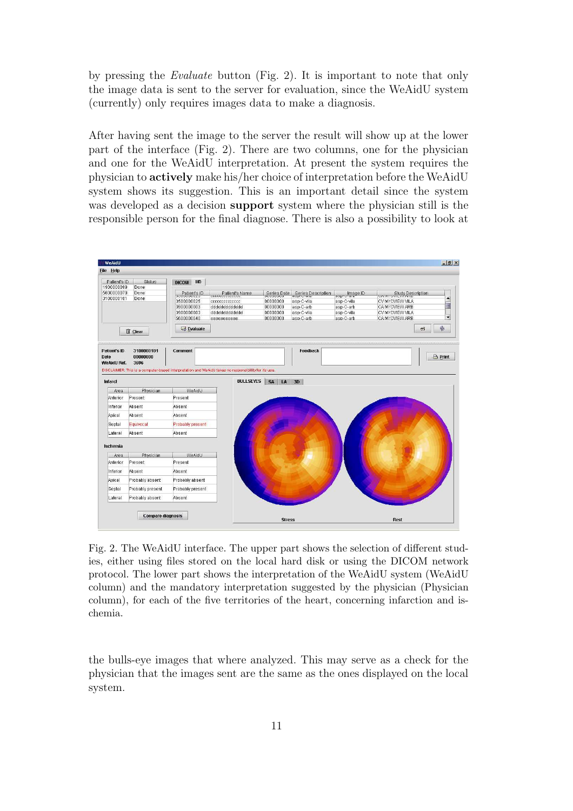by pressing the Evaluate button (Fig. 2). It is important to note that only the image data is sent to the server for evaluation, since the WeAidU system (currently) only requires images data to make a diagnosis.

After having sent the image to the server the result will show up at the lower part of the interface (Fig. 2). There are two columns, one for the physician and one for the WeAidU interpretation. At present the system requires the physician to actively make his/her choice of interpretation before the WeAidU system shows its suggestion. This is an important detail since the system was developed as a decision **support** system where the physician still is the responsible person for the final diagnose. There is also a possibility to look at



Fig. 2. The WeAidU interface. The upper part shows the selection of different studies, either using files stored on the local hard disk or using the DICOM network protocol. The lower part shows the interpretation of the WeAidU system (WeAidU column) and the mandatory interpretation suggested by the physician (Physician column), for each of the five territories of the heart, concerning infarction and ischemia.

the bulls-eye images that where analyzed. This may serve as a check for the physician that the images sent are the same as the ones displayed on the local system.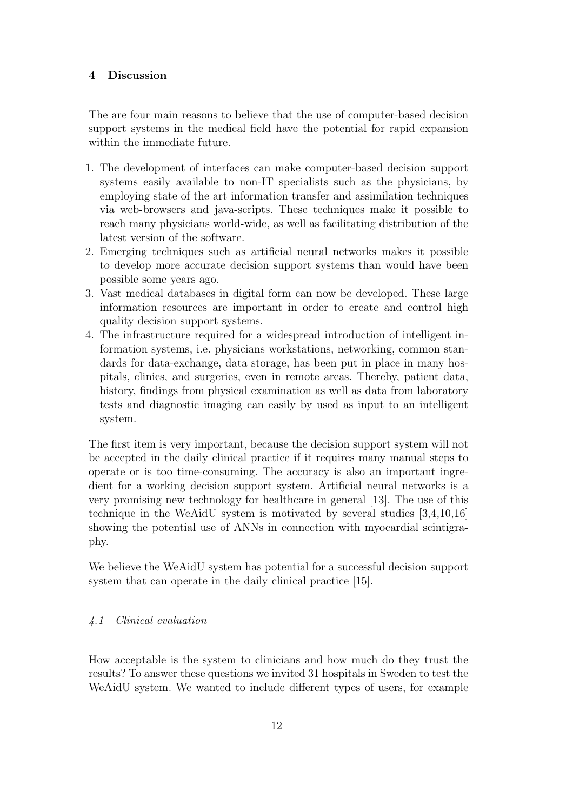## 4 Discussion

The are four main reasons to believe that the use of computer-based decision support systems in the medical field have the potential for rapid expansion within the immediate future.

- 1. The development of interfaces can make computer-based decision support systems easily available to non-IT specialists such as the physicians, by employing state of the art information transfer and assimilation techniques via web-browsers and java-scripts. These techniques make it possible to reach many physicians world-wide, as well as facilitating distribution of the latest version of the software.
- 2. Emerging techniques such as artificial neural networks makes it possible to develop more accurate decision support systems than would have been possible some years ago.
- 3. Vast medical databases in digital form can now be developed. These large information resources are important in order to create and control high quality decision support systems.
- 4. The infrastructure required for a widespread introduction of intelligent information systems, i.e. physicians workstations, networking, common standards for data-exchange, data storage, has been put in place in many hospitals, clinics, and surgeries, even in remote areas. Thereby, patient data, history, findings from physical examination as well as data from laboratory tests and diagnostic imaging can easily by used as input to an intelligent system.

The first item is very important, because the decision support system will not be accepted in the daily clinical practice if it requires many manual steps to operate or is too time-consuming. The accuracy is also an important ingredient for a working decision support system. Artificial neural networks is a very promising new technology for healthcare in general [13]. The use of this technique in the WeAidU system is motivated by several studies [3,4,10,16] showing the potential use of ANNs in connection with myocardial scintigraphy.

We believe the WeAidU system has potential for a successful decision support system that can operate in the daily clinical practice [15].

# 4.1 Clinical evaluation

How acceptable is the system to clinicians and how much do they trust the results? To answer these questions we invited 31 hospitals in Sweden to test the WeAidU system. We wanted to include different types of users, for example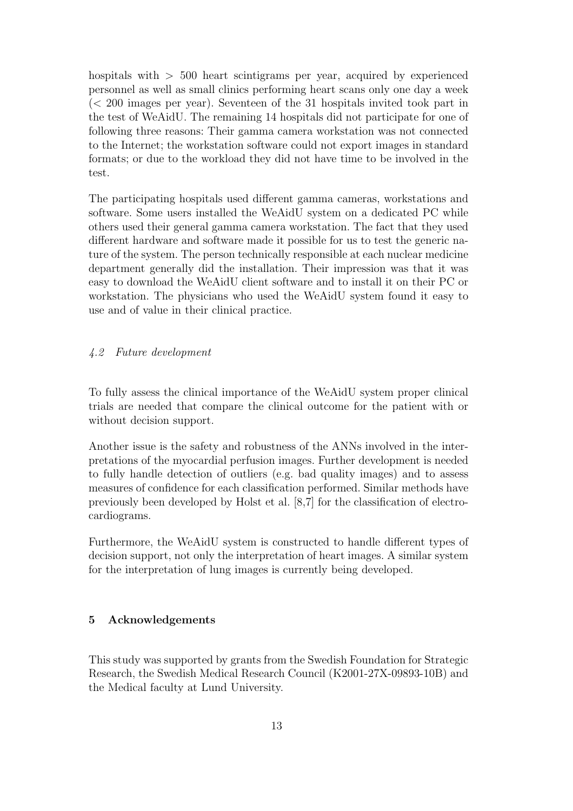hospitals with  $> 500$  heart scintigrams per year, acquired by experienced personnel as well as small clinics performing heart scans only one day a week (< 200 images per year). Seventeen of the 31 hospitals invited took part in the test of WeAidU. The remaining 14 hospitals did not participate for one of following three reasons: Their gamma camera workstation was not connected to the Internet; the workstation software could not export images in standard formats; or due to the workload they did not have time to be involved in the test.

The participating hospitals used different gamma cameras, workstations and software. Some users installed the WeAidU system on a dedicated PC while others used their general gamma camera workstation. The fact that they used different hardware and software made it possible for us to test the generic nature of the system. The person technically responsible at each nuclear medicine department generally did the installation. Their impression was that it was easy to download the WeAidU client software and to install it on their PC or workstation. The physicians who used the WeAidU system found it easy to use and of value in their clinical practice.

# 4.2 Future development

To fully assess the clinical importance of the WeAidU system proper clinical trials are needed that compare the clinical outcome for the patient with or without decision support.

Another issue is the safety and robustness of the ANNs involved in the interpretations of the myocardial perfusion images. Further development is needed to fully handle detection of outliers (e.g. bad quality images) and to assess measures of confidence for each classification performed. Similar methods have previously been developed by Holst et al. [8,7] for the classification of electrocardiograms.

Furthermore, the WeAidU system is constructed to handle different types of decision support, not only the interpretation of heart images. A similar system for the interpretation of lung images is currently being developed.

## 5 Acknowledgements

This study was supported by grants from the Swedish Foundation for Strategic Research, the Swedish Medical Research Council (K2001-27X-09893-10B) and the Medical faculty at Lund University.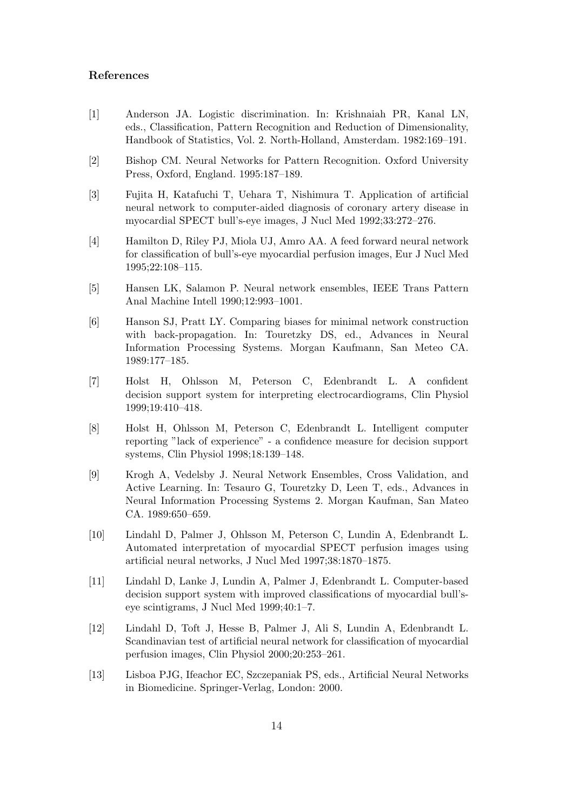#### References

- [1] Anderson JA. Logistic discrimination. In: Krishnaiah PR, Kanal LN, eds., Classification, Pattern Recognition and Reduction of Dimensionality, Handbook of Statistics, Vol. 2. North-Holland, Amsterdam. 1982:169–191.
- [2] Bishop CM. Neural Networks for Pattern Recognition. Oxford University Press, Oxford, England. 1995:187–189.
- [3] Fujita H, Katafuchi T, Uehara T, Nishimura T. Application of artificial neural network to computer-aided diagnosis of coronary artery disease in myocardial SPECT bull's-eye images, J Nucl Med 1992;33:272–276.
- [4] Hamilton D, Riley PJ, Miola UJ, Amro AA. A feed forward neural network for classification of bull's-eye myocardial perfusion images, Eur J Nucl Med 1995;22:108–115.
- [5] Hansen LK, Salamon P. Neural network ensembles, IEEE Trans Pattern Anal Machine Intell 1990;12:993–1001.
- [6] Hanson SJ, Pratt LY. Comparing biases for minimal network construction with back-propagation. In: Touretzky DS, ed., Advances in Neural Information Processing Systems. Morgan Kaufmann, San Meteo CA. 1989:177–185.
- [7] Holst H, Ohlsson M, Peterson C, Edenbrandt L. A confident decision support system for interpreting electrocardiograms, Clin Physiol 1999;19:410–418.
- [8] Holst H, Ohlsson M, Peterson C, Edenbrandt L. Intelligent computer reporting "lack of experience" - a confidence measure for decision support systems, Clin Physiol 1998;18:139–148.
- [9] Krogh A, Vedelsby J. Neural Network Ensembles, Cross Validation, and Active Learning. In: Tesauro G, Touretzky D, Leen T, eds., Advances in Neural Information Processing Systems 2. Morgan Kaufman, San Mateo CA. 1989:650–659.
- [10] Lindahl D, Palmer J, Ohlsson M, Peterson C, Lundin A, Edenbrandt L. Automated interpretation of myocardial SPECT perfusion images using artificial neural networks, J Nucl Med 1997;38:1870–1875.
- [11] Lindahl D, Lanke J, Lundin A, Palmer J, Edenbrandt L. Computer-based decision support system with improved classifications of myocardial bull'seye scintigrams, J Nucl Med 1999;40:1–7.
- [12] Lindahl D, Toft J, Hesse B, Palmer J, Ali S, Lundin A, Edenbrandt L. Scandinavian test of artificial neural network for classification of myocardial perfusion images, Clin Physiol 2000;20:253–261.
- [13] Lisboa PJG, Ifeachor EC, Szczepaniak PS, eds., Artificial Neural Networks in Biomedicine. Springer-Verlag, London: 2000.